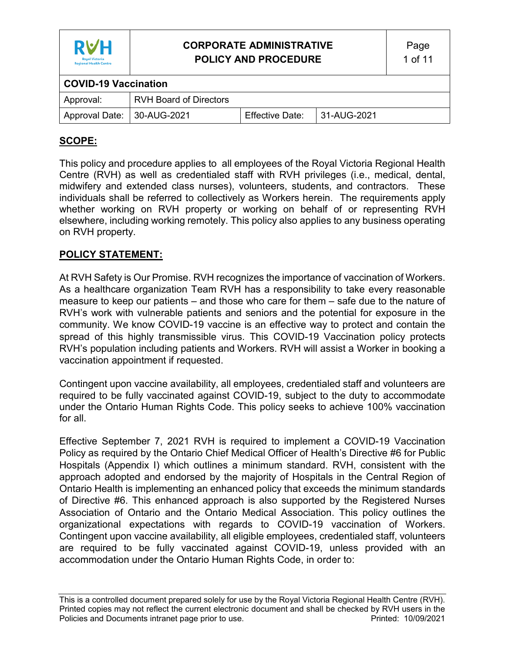

| <b>COVID-19 Vaccination</b>  |                               |                 |               |  |
|------------------------------|-------------------------------|-----------------|---------------|--|
| Approval:                    | <b>RVH Board of Directors</b> |                 |               |  |
| Approval Date:   30-AUG-2021 |                               | Effective Date: | l 31-AUG-2021 |  |

## **SCOPE:**

This policy and procedure applies to all employees of the Royal Victoria Regional Health Centre (RVH) as well as credentialed staff with RVH privileges (i.e., medical, dental, midwifery and extended class nurses), volunteers, students, and contractors. These individuals shall be referred to collectively as Workers herein. The requirements apply whether working on RVH property or working on behalf of or representing RVH elsewhere, including working remotely. This policy also applies to any business operating on RVH property.

### **POLICY STATEMENT:**

At RVH Safety is Our Promise. RVH recognizes the importance of vaccination of Workers. As a healthcare organization Team RVH has a responsibility to take every reasonable measure to keep our patients – and those who care for them – safe due to the nature of RVH's work with vulnerable patients and seniors and the potential for exposure in the community. We know COVID-19 vaccine is an effective way to protect and contain the spread of this highly transmissible virus. This COVID-19 Vaccination policy protects RVH's population including patients and Workers. RVH will assist a Worker in booking a vaccination appointment if requested.

Contingent upon vaccine availability, all employees, credentialed staff and volunteers are required to be fully vaccinated against COVID-19, subject to the duty to accommodate under the Ontario Human Rights Code. This policy seeks to achieve 100% vaccination for all.

Effective September 7, 2021 RVH is required to implement a COVID-19 Vaccination Policy as required by the Ontario Chief Medical Officer of Health's Directive #6 for Public Hospitals (Appendix I) which outlines a minimum standard. RVH, consistent with the approach adopted and endorsed by the majority of Hospitals in the Central Region of Ontario Health is implementing an enhanced policy that exceeds the minimum standards of Directive #6. This enhanced approach is also supported by the Registered Nurses Association of Ontario and the Ontario Medical Association. This policy outlines the organizational expectations with regards to COVID-19 vaccination of Workers. Contingent upon vaccine availability, all eligible employees, credentialed staff, volunteers are required to be fully vaccinated against COVID-19, unless provided with an accommodation under the Ontario Human Rights Code, in order to: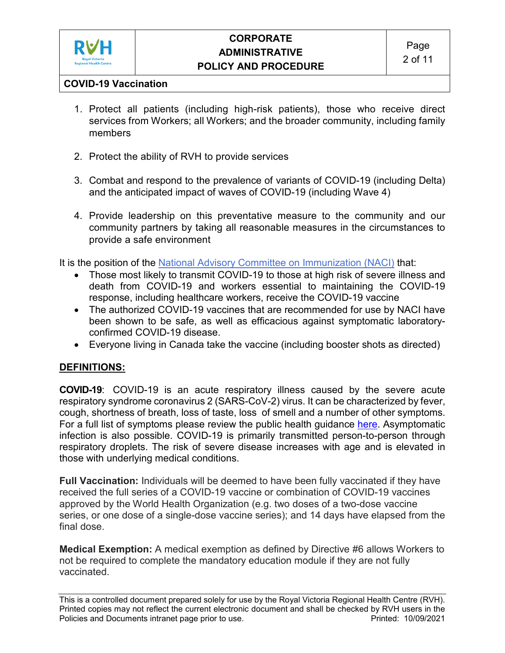

## **COVID-19 Vaccination**

- 1. Protect all patients (including high-risk patients), those who receive direct services from Workers; all Workers; and the broader community, including family members
- 2. Protect the ability of RVH to provide services
- 3. Combat and respond to the prevalence of variants of COVID-19 (including Delta) and the anticipated impact of waves of COVID-19 (including Wave 4)
- 4. Provide leadership on this preventative measure to the community and our community partners by taking all reasonable measures in the circumstances to provide a safe environment

It is the position of the [National Advisory Committee on Immunization \(NACI\)](https://www.canada.ca/en/public-health/services/immunization/national-advisory-committee-on-immunization-naci.html) that:

- Those most likely to transmit COVID-19 to those at high risk of severe illness and death from COVID-19 and workers essential to maintaining the COVID-19 response, including healthcare workers, receive the COVID-19 vaccine
- The authorized COVID-19 vaccines that are recommended for use by NACI have been shown to be safe, as well as efficacious against symptomatic laboratoryconfirmed COVID-19 disease.
- Everyone living in Canada take the vaccine (including booster shots as directed)

## **DEFINITIONS:**

**COVID-19**: COVID-19 is an acute respiratory illness caused by the severe acute respiratory syndrome coronavirus 2 (SARS-CoV-2) virus. It can be characterized by fever, cough, shortness of breath, loss of taste, loss of smell and a number of other symptoms. For a full list of symptoms please review the public health guidance [here.](https://www.ontario.ca/page/covid-19-stop-spread) Asymptomatic infection is also possible. COVID-19 is primarily transmitted person-to-person through respiratory droplets. The risk of severe disease increases with age and is elevated in those with underlying medical conditions.

**Full Vaccination:** Individuals will be deemed to have been fully vaccinated if they have received the full series of a COVID-19 vaccine or combination of COVID-19 vaccines approved by the World Health Organization (e.g. two doses of a two-dose vaccine series, or one dose of a single-dose vaccine series); and 14 days have elapsed from the final dose.

**Medical Exemption:** A medical exemption as defined by Directive #6 allows Workers to not be required to complete the mandatory education module if they are not fully vaccinated.

This is a controlled document prepared solely for use by the Royal Victoria Regional Health Centre (RVH). Printed copies may not reflect the current electronic document and shall be checked by RVH users in the Policies and Documents intranet page prior to use. The example of the Printed: 10/09/2021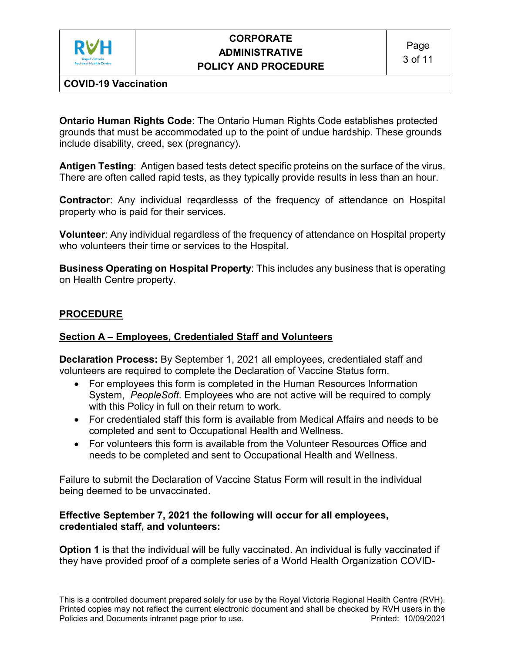

## **COVID-19 Vaccination**

**Ontario Human Rights Code**: The Ontario Human Rights Code establishes protected grounds that must be accommodated up to the point of undue hardship. These grounds include disability, creed, sex (pregnancy).

**Antigen Testing**: Antigen based tests detect specific proteins on the surface of the virus. There are often called rapid tests, as they typically provide results in less than an hour.

**Contractor**: Any individual reqardlesss of the frequency of attendance on Hospital property who is paid for their services.

**Volunteer**: Any individual regardless of the frequency of attendance on Hospital property who volunteers their time or services to the Hospital.

**Business Operating on Hospital Property**: This includes any business that is operating on Health Centre property.

### **PROCEDURE**

#### **Section A – Employees, Credentialed Staff and Volunteers**

**Declaration Process:** By September 1, 2021 all employees, credentialed staff and volunteers are required to complete the Declaration of Vaccine Status form.

- For employees this form is completed in the Human Resources Information System, *PeopleSoft*. Employees who are not active will be required to comply with this Policy in full on their return to work.
- For credentialed staff this form is available from Medical Affairs and needs to be completed and sent to Occupational Health and Wellness.
- For volunteers this form is available from the Volunteer Resources Office and needs to be completed and sent to Occupational Health and Wellness.

Failure to submit the Declaration of Vaccine Status Form will result in the individual being deemed to be unvaccinated.

#### **Effective September 7, 2021 the following will occur for all employees, credentialed staff, and volunteers:**

**Option 1** is that the individual will be fully vaccinated. An individual is fully vaccinated if they have provided proof of a complete series of a World Health Organization COVID-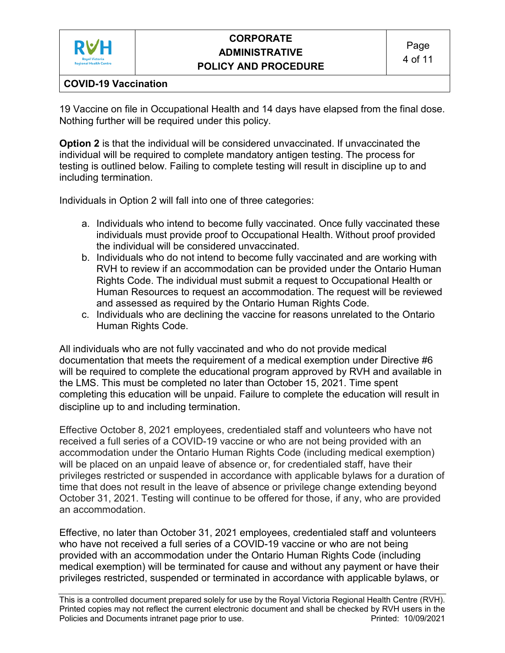

## **COVID-19 Vaccination**

19 Vaccine on file in Occupational Health and 14 days have elapsed from the final dose. Nothing further will be required under this policy.

**Option 2** is that the individual will be considered unvaccinated. If unvaccinated the individual will be required to complete mandatory antigen testing. The process for testing is outlined below. Failing to complete testing will result in discipline up to and including termination.

Individuals in Option 2 will fall into one of three categories:

- a. Individuals who intend to become fully vaccinated. Once fully vaccinated these individuals must provide proof to Occupational Health. Without proof provided the individual will be considered unvaccinated.
- b. Individuals who do not intend to become fully vaccinated and are working with RVH to review if an accommodation can be provided under the Ontario Human Rights Code. The individual must submit a request to Occupational Health or Human Resources to request an accommodation. The request will be reviewed and assessed as required by the Ontario Human Rights Code.
- c. Individuals who are declining the vaccine for reasons unrelated to the Ontario Human Rights Code.

All individuals who are not fully vaccinated and who do not provide medical documentation that meets the requirement of a medical exemption under Directive #6 will be required to complete the educational program approved by RVH and available in the LMS. This must be completed no later than October 15, 2021. Time spent completing this education will be unpaid. Failure to complete the education will result in discipline up to and including termination.

Effective October 8, 2021 employees, credentialed staff and volunteers who have not received a full series of a COVID-19 vaccine or who are not being provided with an accommodation under the Ontario Human Rights Code (including medical exemption) will be placed on an unpaid leave of absence or, for credentialed staff, have their privileges restricted or suspended in accordance with applicable bylaws for a duration of time that does not result in the leave of absence or privilege change extending beyond October 31, 2021. Testing will continue to be offered for those, if any, who are provided an accommodation.

Effective, no later than October 31, 2021 employees, credentialed staff and volunteers who have not received a full series of a COVID-19 vaccine or who are not being provided with an accommodation under the Ontario Human Rights Code (including medical exemption) will be terminated for cause and without any payment or have their privileges restricted, suspended or terminated in accordance with applicable bylaws, or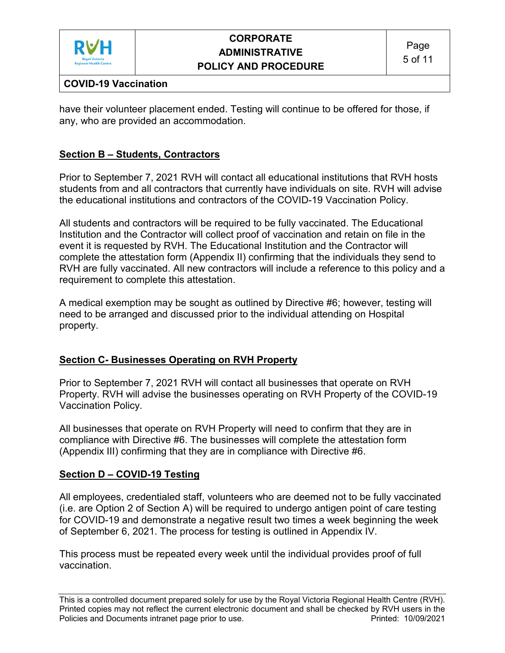

## **COVID-19 Vaccination**

have their volunteer placement ended. Testing will continue to be offered for those, if any, who are provided an accommodation.

## **Section B – Students, Contractors**

Prior to September 7, 2021 RVH will contact all educational institutions that RVH hosts students from and all contractors that currently have individuals on site. RVH will advise the educational institutions and contractors of the COVID-19 Vaccination Policy.

All students and contractors will be required to be fully vaccinated. The Educational Institution and the Contractor will collect proof of vaccination and retain on file in the event it is requested by RVH. The Educational Institution and the Contractor will complete the attestation form (Appendix II) confirming that the individuals they send to RVH are fully vaccinated. All new contractors will include a reference to this policy and a requirement to complete this attestation.

A medical exemption may be sought as outlined by Directive #6; however, testing will need to be arranged and discussed prior to the individual attending on Hospital property.

## **Section C- Businesses Operating on RVH Property**

Prior to September 7, 2021 RVH will contact all businesses that operate on RVH Property. RVH will advise the businesses operating on RVH Property of the COVID-19 Vaccination Policy.

All businesses that operate on RVH Property will need to confirm that they are in compliance with Directive #6. The businesses will complete the attestation form (Appendix III) confirming that they are in compliance with Directive #6.

#### **Section D – COVID-19 Testing**

All employees, credentialed staff, volunteers who are deemed not to be fully vaccinated (i.e. are Option 2 of Section A) will be required to undergo antigen point of care testing for COVID-19 and demonstrate a negative result two times a week beginning the week of September 6, 2021. The process for testing is outlined in Appendix IV.

This process must be repeated every week until the individual provides proof of full vaccination.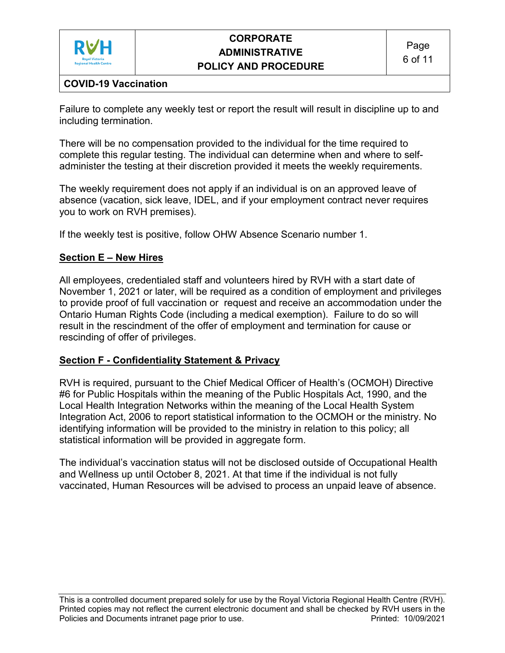

## **COVID-19 Vaccination**

Failure to complete any weekly test or report the result will result in discipline up to and including termination.

There will be no compensation provided to the individual for the time required to complete this regular testing. The individual can determine when and where to selfadminister the testing at their discretion provided it meets the weekly requirements.

The weekly requirement does not apply if an individual is on an approved leave of absence (vacation, sick leave, IDEL, and if your employment contract never requires you to work on RVH premises).

If the weekly test is positive, follow OHW Absence Scenario number 1.

### **Section E – New Hires**

All employees, credentialed staff and volunteers hired by RVH with a start date of November 1, 2021 or later, will be required as a condition of employment and privileges to provide proof of full vaccination or request and receive an accommodation under the Ontario Human Rights Code (including a medical exemption). Failure to do so will result in the rescindment of the offer of employment and termination for cause or rescinding of offer of privileges.

#### **Section F - Confidentiality Statement & Privacy**

RVH is required, pursuant to the Chief Medical Officer of Health's (OCMOH) Directive #6 for Public Hospitals within the meaning of the Public Hospitals Act, 1990, and the Local Health Integration Networks within the meaning of the Local Health System Integration Act, 2006 to report statistical information to the OCMOH or the ministry. No identifying information will be provided to the ministry in relation to this policy; all statistical information will be provided in aggregate form.

The individual's vaccination status will not be disclosed outside of Occupational Health and Wellness up until October 8, 2021. At that time if the individual is not fully vaccinated, Human Resources will be advised to process an unpaid leave of absence.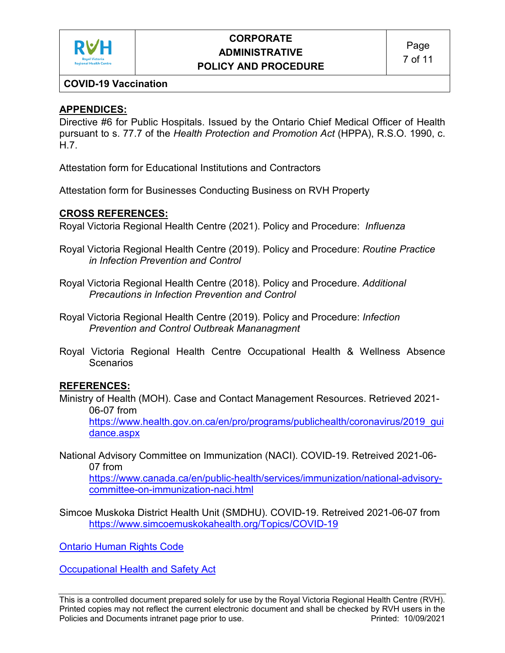

## **COVID-19 Vaccination**

## **APPENDICES:**

Directive #6 for Public Hospitals. Issued by the Ontario Chief Medical Officer of Health pursuant to s. 77.7 of the *Health Protection and Promotion Act* (HPPA), R.S.O. 1990, c. H.7.

Attestation form for Educational Institutions and Contractors

Attestation form for Businesses Conducting Business on RVH Property

## **CROSS REFERENCES:**

Royal Victoria Regional Health Centre (2021). Policy and Procedure: *Influenza*

- Royal Victoria Regional Health Centre (2019). Policy and Procedure: *Routine Practice in Infection Prevention and Control*
- Royal Victoria Regional Health Centre (2018). Policy and Procedure. *Additional Precautions in Infection Prevention and Control*
- Royal Victoria Regional Health Centre (2019). Policy and Procedure: *Infection Prevention and Control Outbreak Mananagment*
- Royal Victoria Regional Health Centre Occupational Health & Wellness Absence Scenarios

## **REFERENCES:**

- Ministry of Health (MOH). Case and Contact Management Resources. Retrieved 2021- 06-07 from [https://www.health.gov.on.ca/en/pro/programs/publichealth/coronavirus/2019\\_gui](https://www.health.gov.on.ca/en/pro/programs/publichealth/coronavirus/2019_guidance.aspx) [dance.aspx](https://www.health.gov.on.ca/en/pro/programs/publichealth/coronavirus/2019_guidance.aspx)
- National Advisory Committee on Immunization (NACI). COVID-19. Retreived 2021-06- 07 from

[https://www.canada.ca/en/public-health/services/immunization/national-advisory](https://www.canada.ca/en/public-health/services/immunization/national-advisory-committee-on-immunization-naci.html)[committee-on-immunization-naci.html](https://www.canada.ca/en/public-health/services/immunization/national-advisory-committee-on-immunization-naci.html)

Simcoe Muskoka District Health Unit (SMDHU). COVID-19. Retreived 2021-06-07 from <https://www.simcoemuskokahealth.org/Topics/COVID-19>

Ontario Human Rights Code

Occupational Health and Safety Act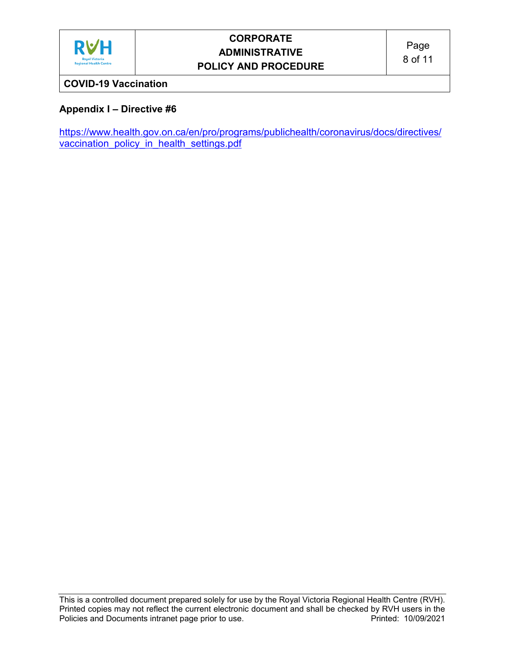

## **COVID-19 Vaccination**

## **Appendix I – Directive #6**

[https://www.health.gov.on.ca/en/pro/programs/publichealth/coronavirus/docs/directives/](https://www.health.gov.on.ca/en/pro/programs/publichealth/coronavirus/docs/directives/vaccination_policy_in_health_settings.pdf) [vaccination\\_policy\\_in\\_health\\_settings.pdf](https://www.health.gov.on.ca/en/pro/programs/publichealth/coronavirus/docs/directives/vaccination_policy_in_health_settings.pdf)

This is a controlled document prepared solely for use by the Royal Victoria Regional Health Centre (RVH). Printed copies may not reflect the current electronic document and shall be checked by RVH users in the<br>Policies and Documents intranet page prior to use. Policies and Documents intranet page prior to use.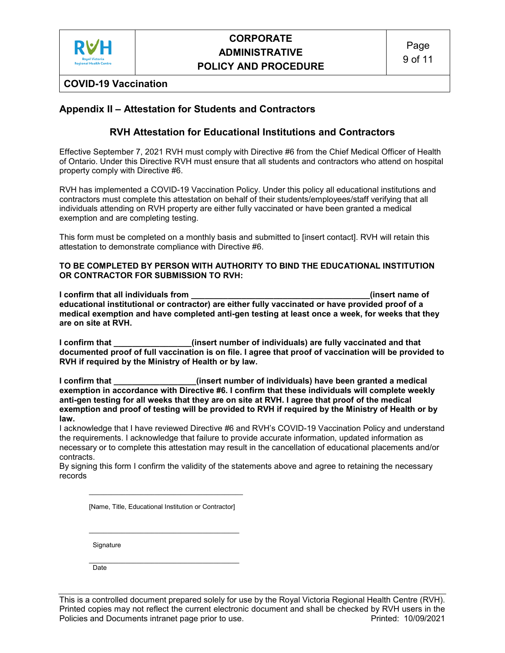

**COVID-19 Vaccination**

#### **Appendix II – Attestation for Students and Contractors**

#### **RVH Attestation for Educational Institutions and Contractors**

Effective September 7, 2021 RVH must comply with Directive #6 from the Chief Medical Officer of Health of Ontario. Under this Directive RVH must ensure that all students and contractors who attend on hospital property comply with Directive #6.

RVH has implemented a COVID-19 Vaccination Policy. Under this policy all educational institutions and contractors must complete this attestation on behalf of their students/employees/staff verifying that all individuals attending on RVH property are either fully vaccinated or have been granted a medical exemption and are completing testing.

This form must be completed on a monthly basis and submitted to [insert contact]. RVH will retain this attestation to demonstrate compliance with Directive #6.

#### **TO BE COMPLETED BY PERSON WITH AUTHORITY TO BIND THE EDUCATIONAL INSTITUTION OR CONTRACTOR FOR SUBMISSION TO RVH:**

**I confirm that all individuals from \_\_\_\_\_\_\_\_\_\_\_\_\_\_\_\_\_\_\_\_\_\_\_\_\_\_\_\_\_\_\_\_\_\_\_\_\_\_\_(insert name of educational institutional or contractor) are either fully vaccinated or have provided proof of a medical exemption and have completed anti-gen testing at least once a week, for weeks that they are on site at RVH.**

**I confirm that \_\_\_\_\_\_\_\_\_\_\_\_\_\_\_\_\_(insert number of individuals) are fully vaccinated and that documented proof of full vaccination is on file. I agree that proof of vaccination will be provided to RVH if required by the Ministry of Health or by law.** 

**I confirm that \_\_\_\_\_\_\_\_\_\_\_\_\_\_\_\_\_\_(insert number of individuals) have been granted a medical exemption in accordance with Directive #6. I confirm that these individuals will complete weekly anti-gen testing for all weeks that they are on site at RVH. I agree that proof of the medical exemption and proof of testing will be provided to RVH if required by the Ministry of Health or by law.** 

I acknowledge that I have reviewed Directive #6 and RVH's COVID-19 Vaccination Policy and understand the requirements. I acknowledge that failure to provide accurate information, updated information as necessary or to complete this attestation may result in the cancellation of educational placements and/or contracts.

By signing this form I confirm the validity of the statements above and agree to retaining the necessary records

[Name, Title, Educational Institution or Contractor]

 $\frac{1}{2}$  ,  $\frac{1}{2}$  ,  $\frac{1}{2}$  ,  $\frac{1}{2}$  ,  $\frac{1}{2}$  ,  $\frac{1}{2}$  ,  $\frac{1}{2}$  ,  $\frac{1}{2}$  ,  $\frac{1}{2}$  ,  $\frac{1}{2}$  ,  $\frac{1}{2}$  ,  $\frac{1}{2}$  ,  $\frac{1}{2}$  ,  $\frac{1}{2}$  ,  $\frac{1}{2}$  ,  $\frac{1}{2}$  ,  $\frac{1}{2}$  ,  $\frac{1}{2}$  ,  $\frac{1$ 

 $\frac{1}{2}$  , and the set of the set of the set of the set of the set of the set of the set of the set of the set of the set of the set of the set of the set of the set of the set of the set of the set of the set of the set

**Signature** 

 $\mathcal{L}_\text{max}$  , which is a set of the set of the set of the set of the set of the set of the set of the set of the set of the set of the set of the set of the set of the set of the set of the set of the set of the set of Date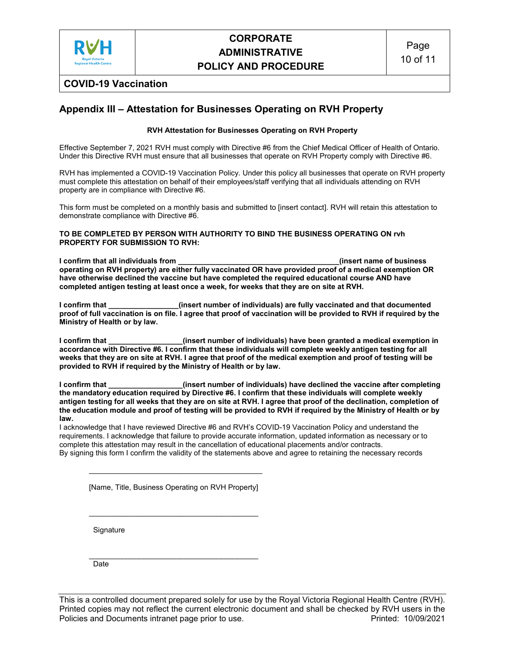

#### **COVID-19 Vaccination**

#### **Appendix III – Attestation for Businesses Operating on RVH Property**

#### **RVH Attestation for Businesses Operating on RVH Property**

Effective September 7, 2021 RVH must comply with Directive #6 from the Chief Medical Officer of Health of Ontario. Under this Directive RVH must ensure that all businesses that operate on RVH Property comply with Directive #6.

RVH has implemented a COVID-19 Vaccination Policy. Under this policy all businesses that operate on RVH property must complete this attestation on behalf of their employees/staff verifying that all individuals attending on RVH property are in compliance with Directive #6.

This form must be completed on a monthly basis and submitted to [insert contact]. RVH will retain this attestation to demonstrate compliance with Directive #6.

#### **TO BE COMPLETED BY PERSON WITH AUTHORITY TO BIND THE BUSINESS OPERATING ON rvh PROPERTY FOR SUBMISSION TO RVH:**

**I confirm that all individuals from \_\_\_\_\_\_\_\_\_\_\_\_\_\_\_\_\_\_\_\_\_\_\_\_\_\_\_\_\_\_\_\_\_\_\_\_\_\_\_(insert name of business operating on RVH property) are either fully vaccinated OR have provided proof of a medical exemption OR have otherwise declined the vaccine but have completed the required educational course AND have completed antigen testing at least once a week, for weeks that they are on site at RVH.**

**I** confirm that *I* **ightarrow that is confirmed** (insert number of individuals) are fully vaccinated and that documented **proof of full vaccination is on file. I agree that proof of vaccination will be provided to RVH if required by the Ministry of Health or by law.** 

**I confirm that \_\_\_\_\_\_\_\_\_\_\_\_\_\_\_\_\_\_(insert number of individuals) have been granted a medical exemption in accordance with Directive #6. I confirm that these individuals will complete weekly antigen testing for all weeks that they are on site at RVH. I agree that proof of the medical exemption and proof of testing will be provided to RVH if required by the Ministry of Health or by law.** 

**I confirm that \_\_\_\_\_\_\_\_\_\_\_\_\_\_\_\_\_\_(insert number of individuals) have declined the vaccine after completing the mandatory education required by Directive #6. I confirm that these individuals will complete weekly antigen testing for all weeks that they are on site at RVH. I agree that proof of the declination, completion of the education module and proof of testing will be provided to RVH if required by the Ministry of Health or by law.** 

I acknowledge that I have reviewed Directive #6 and RVH's COVID-19 Vaccination Policy and understand the requirements. I acknowledge that failure to provide accurate information, updated information as necessary or to complete this attestation may result in the cancellation of educational placements and/or contracts. By signing this form I confirm the validity of the statements above and agree to retaining the necessary records

[Name, Title, Business Operating on RVH Property]

\_\_\_\_\_\_\_\_\_\_\_\_\_\_\_\_\_\_\_\_\_\_\_\_\_\_\_\_\_\_\_\_\_\_\_\_\_\_\_\_\_

\_\_\_\_\_\_\_\_\_\_\_\_\_\_\_\_\_\_\_\_\_\_\_\_\_\_\_\_\_\_\_\_\_\_\_\_\_\_\_\_\_\_

**Signature** 

\_\_\_\_\_\_\_\_\_\_\_\_\_\_\_\_\_\_\_\_\_\_\_\_\_\_\_\_\_\_\_\_\_\_\_\_\_\_\_\_\_ Date